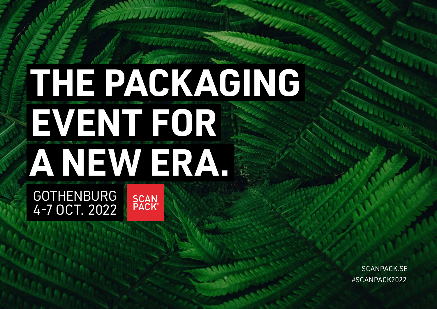# **THE PACKAGING**

# **EVENT FOR A NEW ERA.**

#### GOTHENBURG 4-7 OCT. 2022



[SCANPACK.SE](http://scanpack.se) #SCANPACK2022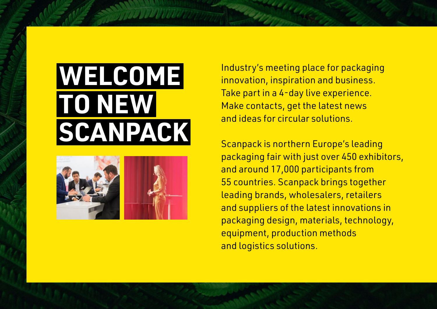# **TO NEW SCANPACK**



**WELCOME** Industry's meeting place for packaging<br>innovation, inspiration and business. innovation, inspiration and business. Take part in a 4-day live experience. Make contacts, get the latest news and ideas for circular solutions.

> Scanpack is northern Europe's leading packaging fair with just over 450 exhibitors, and around 17,000 participants from 55 countries. Scanpack brings together leading brands, wholesalers, retailers and suppliers of the latest innovations in packaging design, materials, technology, equipment, production methods and logistics solutions.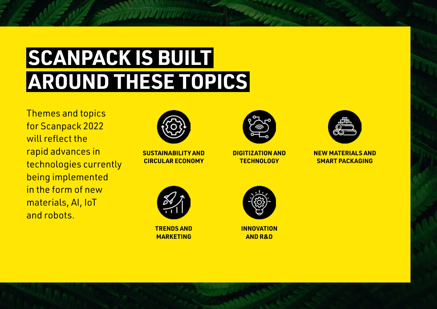### **AROUND THESE TOPICS SCANPACK IS BUILT**

**TOTAL LITTLE** 

Themes and topics for Scanpack 2022 will reflect the rapid advances in technologies currently being implemented in the form of new materials, AI, IoT and robots.



**SUSTAINABILITY AND CIRCULAR ECONOMY**



**DIGITIZATION AND TECHNOLOGY**



**NEW MATERIALS AND SMART PACKAGING**



**TRENDS AND MARKETING**



**INNOVATION AND R&D**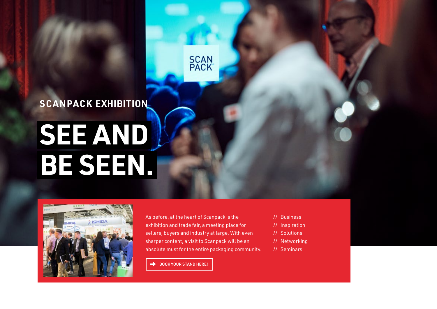#### **SCANPACK EXHIBITION**

### **BE SEEN. SEE AND**



As before, at the heart of Scanpack is the exhibition and trade fair, a meeting place for sellers, buyers and industry at large. With even sharper content, a visit to Scanpack will be an absolute must for the entire packaging community.

SCAN<br>PACK

[BOOK YOUR STAND HERE!](https://en.scanpack.se/for-exhibitors/book-a-stand/)

- // Business
- // Inspiration
- // Solutions
- // Networking
- // Seminars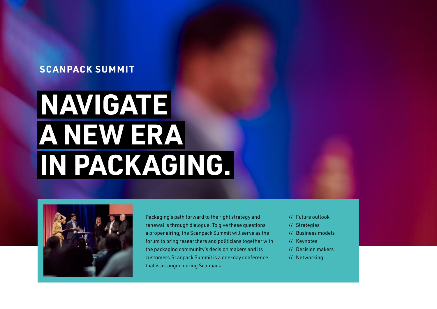#### **SCANPACK SUMMIT**

## **A NEW ERA IN PACKAGING. NAVIGATE**



Packaging's path forward to the right strategy and renewal is through dialogue. To give these questions a proper airing, the Scanpack Summit will serve as the forum to bring researchers and politicians together with the packaging community's decision makers and its customers.Scanpack Summit is a one-day conference that is arranged during Scanpack.

- // Future outlook
- // Strategies
- // Business models
- // Keynotes
- // Decision makers
- // Networking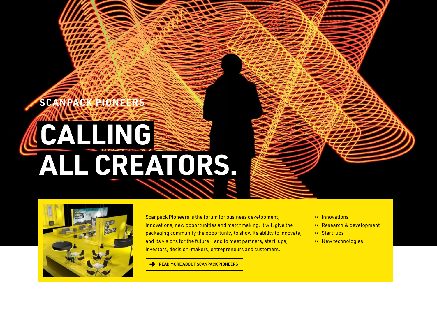## **ALL CREATORS. CALLING SCANPACK PIONEER**



Scanpack Pioneers is the forum for business development, innovations, new opportunities and matchmaking. It will give the packaging community the opportunity to show its ability to innovate, and its visions for the future – and to meet partners, start-ups, investors, decision-makers, entrepreneurs and customers.

[READ MORE ABOUT SCANPACK PIONEERS](https://en.scanpack.se)

#### // Innovations

- // Research & development
- // Start-ups
- // New technologies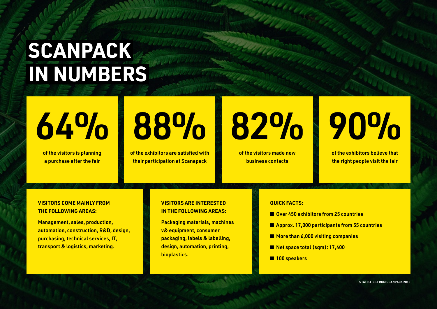### **IN NUMBERS SCANPACK**

# $64%$

of the visitors is planning a purchase after the fair

88%

of the exhibitors are satisfied with their participation at Scanapack

82%

of the visitors made new business contacts

## 90%

of the exhibitors believe that the right people visit the fair

#### **VISITORS COME MAINLY FROM THE FOLLOWING AREAS:**

Management, sales, production, automation, construction, R&D, design, purchasing, technical services, IT, transport & logistics, marketing.

#### **VISITORS ARE INTERESTED IN THE FOLLOWING AREAS:**

Packaging materials, machines v& equipment, consumer packaging, labels & labelling, design, automation, printing, bioplastics.

#### **QUICK FACTS:**

- Over 450 exhibitors from 25 countries
- Approx. 17,000 participants from 55 countries
- More than 6,000 visiting companies
- Net space total (sqm): 17,400
- **n** 100 speakers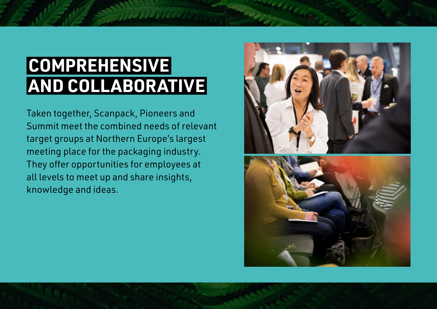### **AND COLLABORATIVE COMPREHENSIVE**

Taken together, Scanpack, Pioneers and Summit meet the combined needs of relevant target groups at Northern Europe's largest meeting place for the packaging industry. They offer opportunities for employees at all levels to meet up and share insights, knowledge and ideas.